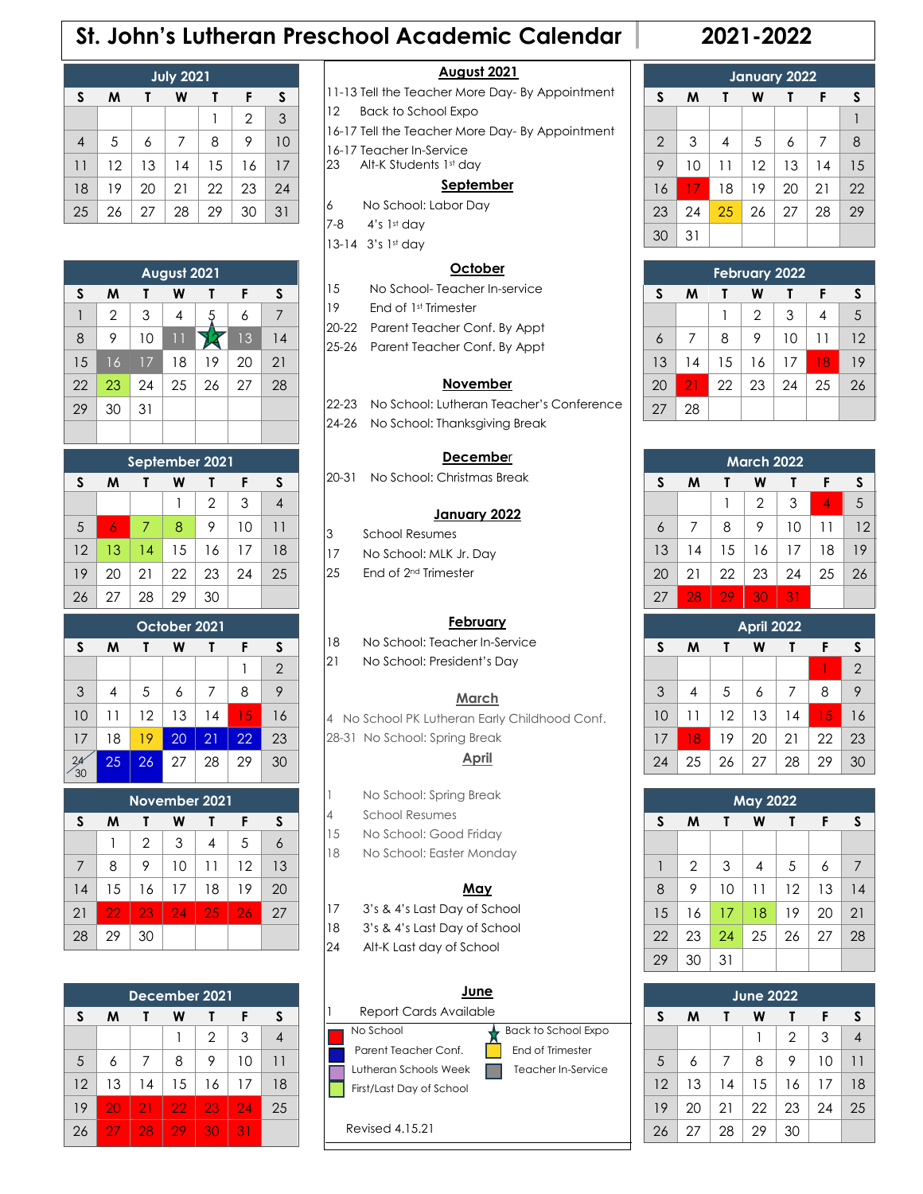## **St. John's Lutheran Preschool Academic Calendar 2021-2022**

| <b>July 2021</b> |    |    |    |    |                |    |  |  |
|------------------|----|----|----|----|----------------|----|--|--|
| S                | М  |    | W  | т  | F              | S  |  |  |
|                  |    |    |    |    | $\overline{2}$ | 3  |  |  |
| $\overline{4}$   | 5  | 6  | 7  | 8  | 9              | 10 |  |  |
| 11               | 12 | 13 | 14 | 15 | 16             | 17 |  |  |
| 18               | 19 | 20 | 21 | 22 | 23             | 24 |  |  |
| 25               | 26 | 27 | 28 | 29 | 30             | 31 |  |  |

| August 2021 |                |    |    |    |    |    |  |  |
|-------------|----------------|----|----|----|----|----|--|--|
| S           | M<br>F<br>W    |    |    |    |    |    |  |  |
|             | $\overline{2}$ | 3  | 4  | 5  | 6  | 7  |  |  |
| 8           | 9              | 10 | 11 |    | 13 | 14 |  |  |
| 15          | 16             | 17 | 18 | 19 | 20 | 21 |  |  |
| 22          | 23             | 24 | 25 | 26 | 27 | 28 |  |  |
| 29          | 30             | 31 |    |    |    |    |  |  |
|             |                |    |    |    |    |    |  |  |

| September 2021        |    |    |    |                |    |    |  |  |
|-----------------------|----|----|----|----------------|----|----|--|--|
| S<br>M<br>F<br>S<br>W |    |    |    |                |    |    |  |  |
|                       |    |    |    | $\overline{2}$ | 3  |    |  |  |
| 5                     | 6  | 7  | 8  | 9              | 10 | 11 |  |  |
| 12                    | 13 | 14 | 15 | 16             | 17 | 18 |  |  |
| 19                    | 20 | 21 | 22 | 23             | 24 | 25 |  |  |
| 26                    | 27 | 28 | 29 | 30             |    |    |  |  |

| October 2021 |    |    |    |    |    |                |  |  |
|--------------|----|----|----|----|----|----------------|--|--|
| S            | м  |    | W  |    | F  | S              |  |  |
|              |    |    |    |    |    | $\overline{2}$ |  |  |
| 3            | 4  | 5  | 6  | 7  | 8  | 9              |  |  |
| 10           | 11 | 12 | 13 | 14 | 15 | 16             |  |  |
| 17           | 18 | 19 | 20 | 21 | 22 | 23             |  |  |
|              | 25 | 26 | 27 | 28 | 29 | 30             |  |  |

| November 2021         |    |                |    |    |    |    |  |  |
|-----------------------|----|----------------|----|----|----|----|--|--|
| S<br>м<br>F<br>w<br>S |    |                |    |    |    |    |  |  |
|                       |    | $\overline{2}$ | 3  |    | 5  |    |  |  |
| 7                     | 8  | 9              | 10 | 11 | 12 | 13 |  |  |
| 14                    | 15 | 16             | 17 | 18 | 19 | 20 |  |  |
| 21                    | 22 | 23             | 24 | 25 | 26 | 27 |  |  |
| 28                    | 29 | 30             |    |    |    |    |  |  |

| December 2021         |    |    |    |                |    |    |  |  |
|-----------------------|----|----|----|----------------|----|----|--|--|
| S<br>F<br>м<br>S<br>w |    |    |    |                |    |    |  |  |
|                       |    |    |    | $\overline{2}$ | 3  |    |  |  |
| 5                     | 6  | 7  | 8  | 9              | 10 | 11 |  |  |
| 12                    | 13 | 14 | 15 | 16             | 17 | 18 |  |  |
| 19                    | 20 | 21 | 22 | 23             | 24 | 25 |  |  |
| 26                    | 27 | 28 | 29 | 30             | 31 |    |  |  |

### **August 2021**

- 11-13 Tell the Teacher More Day- By Appointment
- 12 Back to School Expo
- 16-17 Tell the Teacher More Day- By Appointment
- 16-17 Teacher In-Service
- 23 Alt-K Students 1st day

#### **September**

- 6 No School: Labor Day
- 7-8 4's 1st day
- 13-14 3's 1st day

### **October**

- 15 No School- Teacher In-service
- 19 End of 1st Trimester
- 20-22 Parent Teacher Conf. By Appt
- 25-26 Parent Teacher Conf. By Appt

#### **November**

- 22-23 No School: Lutheran Teacher's Conference
- 24-26 No School: Thanksgiving Break

#### **Decembe**r

20-31 No School: Christmas Break

#### **January 2022**

- 3 School Resumes
- 17 No School: MLK Jr. Day
- 25 End of 2<sup>nd</sup> Trimester

#### **February**

- 18 No School: Teacher In-Service
- 21 No School: President's Day

#### **March**

4 No School PK Lutheran Early Childhood Conf.

#### 28-31 No School: Spring Break **April**

- 1 No School: Spring Break
- 4 School Resumes
- 15 No School: Good Friday
- 18 No School: Easter Monday

#### **May**

17 3's & 4's Last Day of School

18 3's & 4's Last Day of School

24 Alt-K Last day of School

|                          | ۱e                  |
|--------------------------|---------------------|
| Report Cards Available   |                     |
| No School                | Back to School Expo |
| Parent Teacher Conf.     | End of Trimester    |
| Lutheran Schools Week    | Teacher In-Service  |
| First/Last Day of School |                     |
|                          |                     |

Revised 4.15.21

|                | <b>January 2022</b> |                |    |    |    |    |  |
|----------------|---------------------|----------------|----|----|----|----|--|
| S              | M                   |                | W  |    | F  | S  |  |
|                |                     |                |    |    |    |    |  |
| $\overline{2}$ | 3                   | $\overline{4}$ | 5  | 6  | 7  | 8  |  |
| 9              | 10                  | 11             | 12 | 13 | 14 | 15 |  |
| 16             | 17                  | 18             | 19 | 20 | 21 | 22 |  |
| 23             | 24                  | 25             | 26 | 27 | 28 | 29 |  |
| 30             | 31                  |                |    |    |    |    |  |

| <b>February 2022</b> |             |    |                |    |    |    |  |
|----------------------|-------------|----|----------------|----|----|----|--|
| S                    | M<br>F<br>W |    |                |    |    |    |  |
|                      |             |    | $\overline{2}$ | 3  | 4  | 5  |  |
| 6                    | 7           | 8  | 9              | 10 | 11 | 12 |  |
| 13                   | 14          | 15 | 16             | 17 | 18 | 19 |  |
| 20                   | 21          | 22 | 23             | 24 | 25 | 26 |  |
| 27                   | 28          |    |                |    |    |    |  |

| <b>March 2022</b> |    |        |                |    |                |    |  |
|-------------------|----|--------|----------------|----|----------------|----|--|
| S                 | м  | W<br>F |                |    |                |    |  |
|                   |    |        | $\overline{2}$ | 3  | $\overline{A}$ | 5  |  |
| 6                 | 7  | 8      | 9              | 10 | 11             | 12 |  |
| 13                | 14 | 15     | 16             | 17 | 18             | 19 |  |
| 20                | 21 | 22     | 23             | 24 | 25             | 26 |  |
| 27                | 28 | 29     | 30             | 31 |                |    |  |

|    |    |    | April 2022 |    |    |                |
|----|----|----|------------|----|----|----------------|
| S  | м  |    | F          | S  |    |                |
|    |    |    |            |    |    | $\overline{2}$ |
| 3  | 4  | 5  | 6          | 7  | 8  | 9              |
| 10 | 11 | 12 | 13         | 14 | 15 | 16             |
| 17 | 18 | 19 | 20         | 21 | 22 | 23             |
| 24 | 25 | 26 | 27         | 28 | 29 | 30             |

| <b>May 2022</b> |                |    |    |    |    |    |  |
|-----------------|----------------|----|----|----|----|----|--|
| S               | M              | Т  | W  | Τ  | F  | S  |  |
|                 |                |    |    |    |    |    |  |
| 1               | $\overline{2}$ | 3  | 4  | 5  | 6  | 7  |  |
| 8               | 9              | 10 | 11 | 12 | 13 | 14 |  |
| 15              | 16             | 17 | 18 | 19 | 20 | 21 |  |
| 22              | 23             | 24 | 25 | 26 | 27 | 28 |  |
| 29              | 30             | 31 |    |    |    |    |  |

| <b>June 2022</b> |    |    |    |                |    |    |
|------------------|----|----|----|----------------|----|----|
| S                | м  |    | W  |                | F  | S  |
|                  |    |    |    | $\overline{2}$ | 3  |    |
| 5                | 6  | 7  | 8  | 9              | 10 | 11 |
| 12               | 13 | 14 | 15 | 16             | 17 | 18 |
| 19               | 20 | 21 | 22 | 23             | 24 | 25 |
| 26               | 27 | 28 | 29 | 30             |    |    |